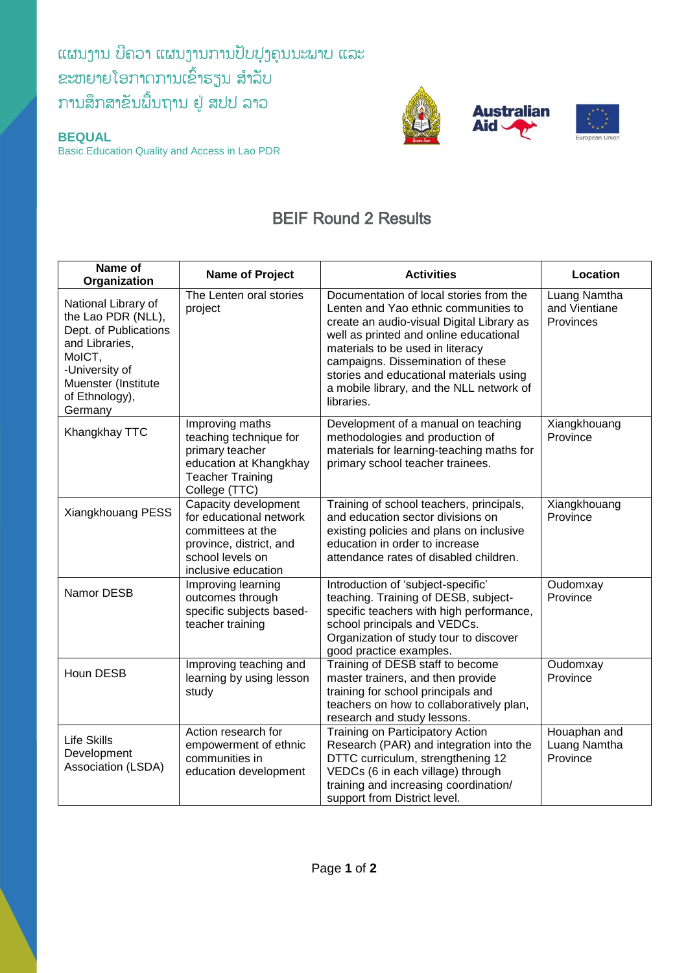## ແຜນງານ ບີຄວາ ແຜນງານການປັບປຸງຄຸນນະພາບ ແລະ ຂະຫຍາຍໂອກາດການເຂົ້າຮຽນ ສຳລັບ ການສຶກສາຂັນພື້ນຖານ ຢູ່ ສປປ ລາວ

**BEQUAL**

Basic Education Quality and Access in Lao PDR



## BEIF Round 2 Results

| Name of<br>Organization                                                                                                                                              | Name of Project                                                                                                                            | <b>Activities</b>                                                                                                                                                                                                                                                                                                                                    | Location                                   |
|----------------------------------------------------------------------------------------------------------------------------------------------------------------------|--------------------------------------------------------------------------------------------------------------------------------------------|------------------------------------------------------------------------------------------------------------------------------------------------------------------------------------------------------------------------------------------------------------------------------------------------------------------------------------------------------|--------------------------------------------|
| National Library of<br>the Lao PDR (NLL),<br>Dept. of Publications<br>and Libraries,<br>MoICT,<br>-University of<br>Muenster (Institute<br>of Ethnology),<br>Germany | The Lenten oral stories<br>project                                                                                                         | Documentation of local stories from the<br>Lenten and Yao ethnic communities to<br>create an audio-visual Digital Library as<br>well as printed and online educational<br>materials to be used in literacy<br>campaigns. Dissemination of these<br>stories and educational materials using<br>a mobile library, and the NLL network of<br>libraries. | Luang Namtha<br>and Vientiane<br>Provinces |
| Khangkhay TTC                                                                                                                                                        | Improving maths<br>teaching technique for<br>primary teacher<br>education at Khangkhay<br><b>Teacher Training</b><br>College (TTC)         | Development of a manual on teaching<br>methodologies and production of<br>materials for learning-teaching maths for<br>primary school teacher trainees.                                                                                                                                                                                              | Xiangkhouang<br>Province                   |
| Xiangkhouang PESS                                                                                                                                                    | Capacity development<br>for educational network<br>committees at the<br>province, district, and<br>school levels on<br>inclusive education | Training of school teachers, principals,<br>and education sector divisions on<br>existing policies and plans on inclusive<br>education in order to increase<br>attendance rates of disabled children.                                                                                                                                                | Xiangkhouang<br>Province                   |
| Namor DESB                                                                                                                                                           | Improving learning<br>outcomes through<br>specific subjects based-<br>teacher training                                                     | Introduction of 'subject-specific'<br>teaching. Training of DESB, subject-<br>specific teachers with high performance,<br>school principals and VEDCs.<br>Organization of study tour to discover<br>good practice examples.                                                                                                                          | Oudomxay<br>Province                       |
| Houn DESB                                                                                                                                                            | Improving teaching and<br>learning by using lesson<br>study                                                                                | Training of DESB staff to become<br>master trainers, and then provide<br>training for school principals and<br>teachers on how to collaboratively plan,<br>research and study lessons.                                                                                                                                                               | Oudomxay<br>Province                       |
| <b>Life Skills</b><br>Development<br>Association (LSDA)                                                                                                              | Action research for<br>empowerment of ethnic<br>communities in<br>education development                                                    | Training on Participatory Action<br>Research (PAR) and integration into the<br>DTTC curriculum, strengthening 12<br>VEDCs (6 in each village) through<br>training and increasing coordination/<br>support from District level.                                                                                                                       | Houaphan and<br>Luang Namtha<br>Province   |